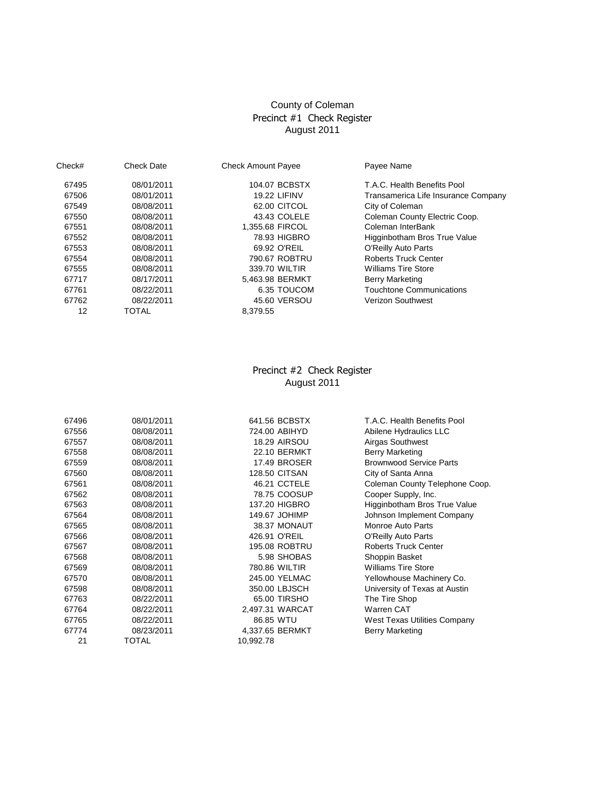## County of Coleman Precinct #1 Check Register August 2011

| Check# | <b>Check Date</b> | <b>Check Amount Payee</b> | Payee Name                          |
|--------|-------------------|---------------------------|-------------------------------------|
| 67495  | 08/01/2011        | 104.07 BCBSTX             | T.A.C. Health Benefits Pool         |
| 67506  | 08/01/2011        | <b>19.22 LIFINV</b>       | Transamerica Life Insurance Company |
| 67549  | 08/08/2011        | 62.00 CITCOL              | City of Coleman                     |
| 67550  | 08/08/2011        | 43.43 COLELE              | Coleman County Electric Coop.       |
| 67551  | 08/08/2011        | 1.355.68 FIRCOL           | Coleman InterBank                   |
| 67552  | 08/08/2011        | 78.93 HIGBRO              | Higginbotham Bros True Value        |
| 67553  | 08/08/2011        | 69.92 O'REIL              | <b>O'Reilly Auto Parts</b>          |
| 67554  | 08/08/2011        | 790.67 ROBTRU             | <b>Roberts Truck Center</b>         |
| 67555  | 08/08/2011        | 339.70 WILTIR             | <b>Williams Tire Store</b>          |
| 67717  | 08/17/2011        | 5.463.98 BERMKT           | <b>Berry Marketing</b>              |
| 67761  | 08/22/2011        | 6.35 TOUCOM               | Touchtone Communications            |
| 67762  | 08/22/2011        | 45.60 VERSOU              | <b>Verizon Southwest</b>            |
| 12     | TOTAL             | 8.379.55                  |                                     |

#### August 2011 Precinct #2 Check Register

| 67496 | 08/01/2011 | 641.56 BCBSTX        | T.A.C. Health Benefits Pool    |
|-------|------------|----------------------|--------------------------------|
| 67556 | 08/08/2011 | 724.00 ABIHYD        | Abilene Hydraulics LLC         |
| 67557 | 08/08/2011 | <b>18.29 AIRSOU</b>  | Airgas Southwest               |
| 67558 | 08/08/2011 | <b>22.10 BERMKT</b>  | Berry Marketing                |
| 67559 | 08/08/2011 | 17.49 BROSER         | <b>Brownwood Service Parts</b> |
| 67560 | 08/08/2011 | <b>128.50 CITSAN</b> | City of Santa Anna             |
| 67561 | 08/08/2011 | 46.21 CCTELE         | Coleman County Telephone Coop. |
| 67562 | 08/08/2011 | 78.75 COOSUP         | Cooper Supply, Inc.            |
| 67563 | 08/08/2011 | 137.20 HIGBRO        | Higginbotham Bros True Value   |
| 67564 | 08/08/2011 | 149.67 JOHIMP        | Johnson Implement Company      |
| 67565 | 08/08/2011 | 38.37 MONAUT         | Monroe Auto Parts              |
| 67566 | 08/08/2011 | 426.91 O'REIL        | <b>O'Reilly Auto Parts</b>     |
| 67567 | 08/08/2011 | <b>195.08 ROBTRU</b> | <b>Roberts Truck Center</b>    |
| 67568 | 08/08/2011 | 5.98 SHOBAS          | Shoppin Basket                 |
| 67569 | 08/08/2011 | 780.86 WILTIR        | <b>Williams Tire Store</b>     |
| 67570 | 08/08/2011 | 245.00 YELMAC        | Yellowhouse Machinery Co.      |
| 67598 | 08/08/2011 | 350.00 LBJSCH        | University of Texas at Austin  |
| 67763 | 08/22/2011 | 65.00 TIRSHO         | The Tire Shop                  |
| 67764 | 08/22/2011 | 2,497.31 WARCAT      | Warren CAT                     |
| 67765 | 08/22/2011 | 86.85 WTU            | West Texas Utilities Company   |
| 67774 | 08/23/2011 | 4,337.65 BERMKT      | <b>Berry Marketing</b>         |
| 21    | TOTAL      | 10.992.78            |                                |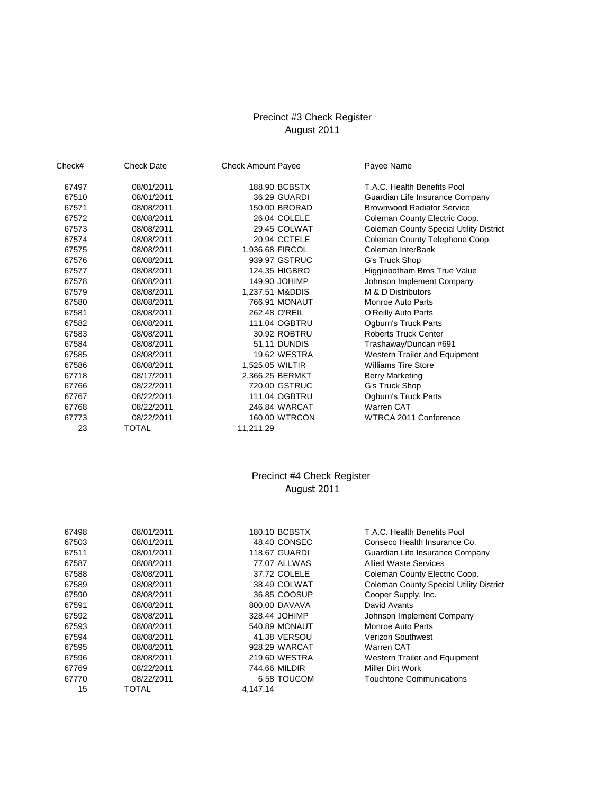#### August 2011 Precinct #3 Check Register

| Check# | <b>Check Date</b> | <b>Check Amount Payee</b> | Payee Name                                     |
|--------|-------------------|---------------------------|------------------------------------------------|
| 67497  | 08/01/2011        | 188.90 BCBSTX             | T.A.C. Health Benefits Pool                    |
| 67510  | 08/01/2011        | 36.29 GUARDI              | Guardian Life Insurance Company                |
| 67571  | 08/08/2011        | 150.00 BRORAD             | <b>Brownwood Radiator Service</b>              |
| 67572  | 08/08/2011        | 26.04 COLELE              | Coleman County Electric Coop.                  |
| 67573  | 08/08/2011        | 29.45 COLWAT              | <b>Coleman County Special Utility District</b> |
| 67574  | 08/08/2011        | 20.94 CCTELE              | Coleman County Telephone Coop.                 |
| 67575  | 08/08/2011        | 1,936.68 FIRCOL           | Coleman InterBank                              |
| 67576  | 08/08/2011        | 939.97 GSTRUC             | G's Truck Shop                                 |
| 67577  | 08/08/2011        | 124.35 HIGBRO             | Higginbotham Bros True Value                   |
| 67578  | 08/08/2011        | 149.90 JOHIMP             | Johnson Implement Company                      |
| 67579  | 08/08/2011        | 1,237.51 M&DDIS           | M & D Distributors                             |
| 67580  | 08/08/2011        | 766.91 MONAUT             | Monroe Auto Parts                              |
| 67581  | 08/08/2011        | 262.48 O'REIL             | O'Reilly Auto Parts                            |
| 67582  | 08/08/2011        | 111.04 OGBTRU             | Ogburn's Truck Parts                           |
| 67583  | 08/08/2011        | 30.92 ROBTRU              | <b>Roberts Truck Center</b>                    |
| 67584  | 08/08/2011        | 51.11 DUNDIS              | Trashaway/Duncan #691                          |
| 67585  | 08/08/2011        | 19.62 WESTRA              | Western Trailer and Equipment                  |
| 67586  | 08/08/2011        | 1,525.05 WILTIR           | <b>Williams Tire Store</b>                     |
| 67718  | 08/17/2011        | 2,366.25 BERMKT           | <b>Berry Marketing</b>                         |
| 67766  | 08/22/2011        | 720.00 GSTRUC             | G's Truck Shop                                 |
| 67767  | 08/22/2011        | 111.04 OGBTRU             | Ogburn's Truck Parts                           |
| 67768  | 08/22/2011        | 246.84 WARCAT             | Warren CAT                                     |
| 67773  | 08/22/2011        | 160.00 WTRCON             | WTRCA 2011 Conference                          |
| 23     | <b>TOTAL</b>      | 11,211.29                 |                                                |

### Precinct #4 Check Register August 2011

| 67498 | 08/01/2011 | 180.10 BCBSTX | T.A.C. Health Benefits Pool                    |
|-------|------------|---------------|------------------------------------------------|
| 67503 | 08/01/2011 | 48.40 CONSEC  | Conseco Health Insurance Co.                   |
| 67511 | 08/01/2011 | 118.67 GUARDI | Guardian Life Insurance Company                |
| 67587 | 08/08/2011 | 77.07 ALLWAS  | <b>Allied Waste Services</b>                   |
| 67588 | 08/08/2011 | 37.72 COLELE  | Coleman County Electric Coop.                  |
| 67589 | 08/08/2011 | 38.49 COLWAT  | <b>Coleman County Special Utility District</b> |
| 67590 | 08/08/2011 | 36.85 COOSUP  | Cooper Supply, Inc.                            |
| 67591 | 08/08/2011 | 800.00 DAVAVA | David Avants                                   |
| 67592 | 08/08/2011 | 328.44 JOHIMP | Johnson Implement Company                      |
| 67593 | 08/08/2011 | 540.89 MONAUT | Monroe Auto Parts                              |
| 67594 | 08/08/2011 | 41.38 VERSOU  | <b>Verizon Southwest</b>                       |
| 67595 | 08/08/2011 | 928.29 WARCAT | Warren CAT                                     |
| 67596 | 08/08/2011 | 219.60 WESTRA | Western Trailer and Equipment                  |
| 67769 | 08/22/2011 | 744.66 MILDIR | Miller Dirt Work                               |
| 67770 | 08/22/2011 | 6.58 TOUCOM   | Touchtone Communications                       |
| 15    | TOTAL      | 4.147.14      |                                                |
|       |            |               |                                                |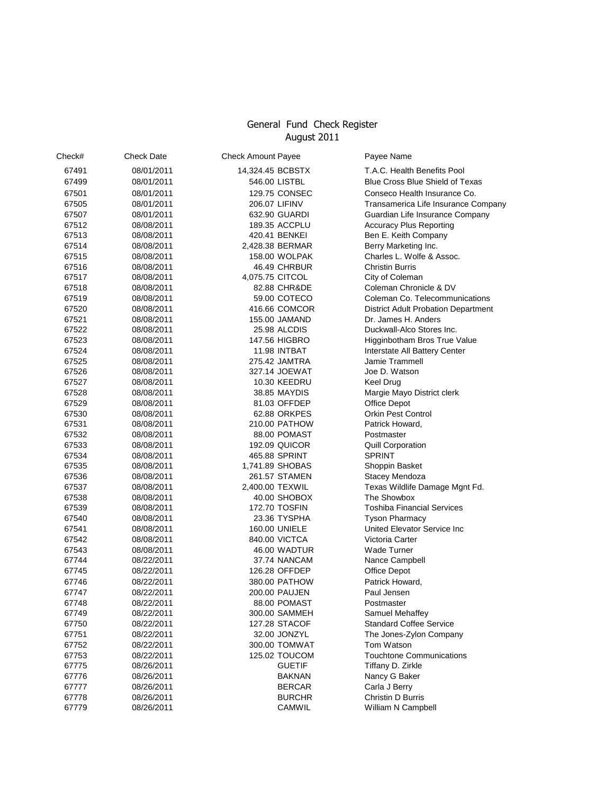# General Fund Check Register August 2011

| Check# | <b>Check Date</b> | <b>Check Amount Payee</b> |               | Payee Name                                 |
|--------|-------------------|---------------------------|---------------|--------------------------------------------|
| 67491  | 08/01/2011        | 14,324.45 BCBSTX          |               | T.A.C. Health Benefits Pool                |
| 67499  | 08/01/2011        | 546.00 LISTBL             |               | Blue Cross Blue Shield of Texas            |
| 67501  | 08/01/2011        | 129.75 CONSEC             |               | Conseco Health Insurance Co.               |
| 67505  | 08/01/2011        | 206.07 LIFINV             |               | Transamerica Life Insurance Company        |
| 67507  | 08/01/2011        | 632.90 GUARDI             |               | Guardian Life Insurance Company            |
| 67512  | 08/08/2011        | 189.35 ACCPLU             |               | <b>Accuracy Plus Reporting</b>             |
| 67513  | 08/08/2011        | 420.41 BENKEI             |               | Ben E. Keith Company                       |
| 67514  | 08/08/2011        | 2,428.38 BERMAR           |               | Berry Marketing Inc.                       |
| 67515  | 08/08/2011        | 158.00 WOLPAK             |               | Charles L. Wolfe & Assoc.                  |
| 67516  | 08/08/2011        | 46.49 CHRBUR              |               | <b>Christin Burris</b>                     |
| 67517  | 08/08/2011        | 4,075.75 CITCOL           |               | City of Coleman                            |
| 67518  | 08/08/2011        | 82.88 CHR&DE              |               | Coleman Chronicle & DV                     |
| 67519  | 08/08/2011        | 59.00 COTECO              |               | Coleman Co. Telecommunications             |
| 67520  | 08/08/2011        | 416.66 COMCOR             |               | <b>District Adult Probation Department</b> |
| 67521  | 08/08/2011        | 155.00 JAMAND             |               | Dr. James H. Anders                        |
| 67522  | 08/08/2011        | 25.98 ALCDIS              |               | Duckwall-Alco Stores Inc.                  |
| 67523  | 08/08/2011        | 147.56 HIGBRO             |               | Higginbotham Bros True Value               |
| 67524  | 08/08/2011        | 11.98 INTBAT              |               | Interstate All Battery Center              |
| 67525  | 08/08/2011        | 275.42 JAMTRA             |               | Jamie Trammell                             |
| 67526  | 08/08/2011        | 327.14 JOEWAT             |               | Joe D. Watson                              |
| 67527  | 08/08/2011        | 10.30 KEEDRU              |               | Keel Drug                                  |
| 67528  | 08/08/2011        | 38.85 MAYDIS              |               | Margie Mayo District clerk                 |
| 67529  | 08/08/2011        | 81.03 OFFDEP              |               | Office Depot                               |
| 67530  | 08/08/2011        | 62.88 ORKPES              |               | Orkin Pest Control                         |
| 67531  | 08/08/2011        | 210.00 PATHOW             |               | Patrick Howard.                            |
| 67532  | 08/08/2011        | 88.00 POMAST              |               | Postmaster                                 |
| 67533  | 08/08/2011        | 192.09 QUICOR             |               | <b>Quill Corporation</b>                   |
| 67534  | 08/08/2011        | 465.88 SPRINT             |               | <b>SPRINT</b>                              |
| 67535  | 08/08/2011        | 1,741.89 SHOBAS           |               | Shoppin Basket                             |
| 67536  | 08/08/2011        | 261.57 STAMEN             |               | Stacey Mendoza                             |
| 67537  | 08/08/2011        | 2,400.00 TEXWIL           |               | Texas Wildlife Damage Mgnt Fd.             |
| 67538  | 08/08/2011        | 40.00 SHOBOX              |               | The Showbox                                |
| 67539  | 08/08/2011        | 172.70 TOSFIN             |               | <b>Toshiba Financial Services</b>          |
| 67540  | 08/08/2011        | 23.36 TYSPHA              |               | <b>Tyson Pharmacy</b>                      |
| 67541  | 08/08/2011        | 160.00 UNIELE             |               | United Elevator Service Inc                |
| 67542  | 08/08/2011        | 840.00 VICTCA             |               | Victoria Carter                            |
| 67543  | 08/08/2011        | 46.00 WADTUR              |               | <b>Wade Turner</b>                         |
| 67744  | 08/22/2011        | 37.74 NANCAM              |               | Nance Campbell                             |
| 67745  | 08/22/2011        | 126.28 OFFDEP             |               | Office Depot                               |
| 67746  | 08/22/2011        | 380.00 PATHOW             |               | Patrick Howard.                            |
| 67747  | 08/22/2011        | 200.00 PAUJEN             |               | Paul Jensen                                |
| 67748  | 08/22/2011        | 88.00 POMAST              |               | Postmaster                                 |
| 67749  | 08/22/2011        | 300.00 SAMMEH             |               | Samuel Mehaffey                            |
| 67750  | 08/22/2011        | 127.28 STACOF             |               | <b>Standard Coffee Service</b>             |
| 67751  | 08/22/2011        | 32.00 JONZYL              |               | The Jones-Zylon Company                    |
| 67752  | 08/22/2011        | 300.00 TOMWAT             |               | Tom Watson                                 |
| 67753  | 08/22/2011        | 125.02 TOUCOM             |               | <b>Touchtone Communications</b>            |
| 67775  | 08/26/2011        |                           | <b>GUETIF</b> | Tiffany D. Zirkle                          |
| 67776  | 08/26/2011        |                           | <b>BAKNAN</b> | Nancy G Baker                              |
| 67777  | 08/26/2011        |                           | <b>BERCAR</b> | Carla J Berry                              |
| 67778  | 08/26/2011        |                           | <b>BURCHR</b> | Christin D Burris                          |
| 67779  | 08/26/2011        |                           | CAMWIL        | William N Campbell                         |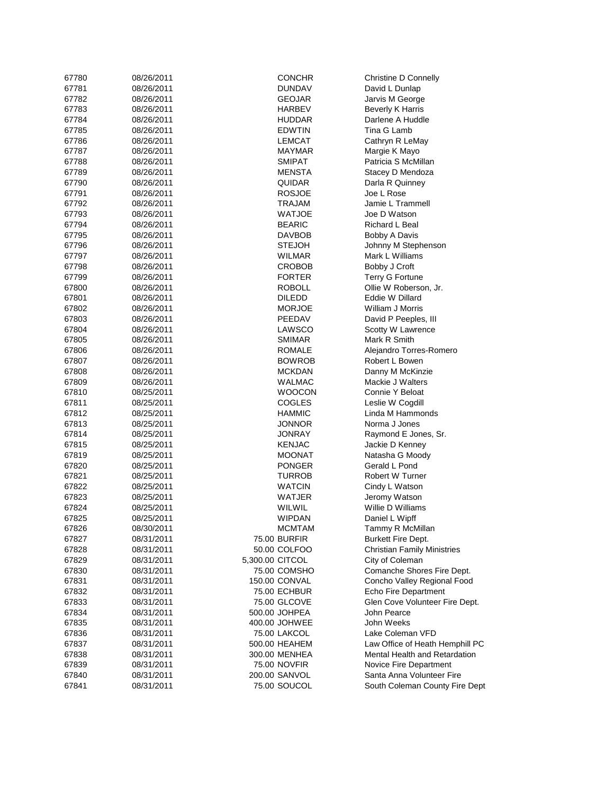| 67780 | 08/26/2011               | <b>CONCHR</b>    | Christine D Connelly               |
|-------|--------------------------|------------------|------------------------------------|
| 67781 | 08/26/2011               | <b>DUNDAV</b>    | David L Dunlap                     |
| 67782 | 08/26/2011               | <b>GEOJAR</b>    | Jarvis M George                    |
| 67783 | 08/26/2011               | HARBEV           | <b>Beverly K Harris</b>            |
| 67784 | 08/26/2011               | <b>HUDDAR</b>    | Darlene A Huddle                   |
| 67785 | 08/26/2011               | <b>EDWTIN</b>    | Tina G Lamb                        |
| 67786 | 08/26/2011               | LEMCAT           | Cathryn R LeMay                    |
| 67787 | 08/26/2011               | MAYMAR           | Margie K Mayo                      |
| 67788 | 08/26/2011               | <b>SMIPAT</b>    | Patricia S McMillan                |
| 67789 | 08/26/2011               | MENSTA           | Stacey D Mendoza                   |
| 67790 | 08/26/2011               | QUIDAR           | Darla R Quinney                    |
| 67791 | 08/26/2011               | <b>ROSJOE</b>    | Joe L Rose                         |
|       | 08/26/2011               |                  | Jamie L Trammell                   |
| 67792 |                          | TRAJAM           |                                    |
| 67793 | 08/26/2011               | WATJOE           | Joe D Watson                       |
| 67794 | 08/26/2011               | <b>BEARIC</b>    | Richard L Beal                     |
| 67795 | 08/26/2011               | <b>DAVBOB</b>    | Bobby A Davis                      |
| 67796 | 08/26/2011               | <b>STEJOH</b>    | Johnny M Stephenson                |
| 67797 | 08/26/2011               | WILMAR           | Mark L Williams                    |
| 67798 | 08/26/2011               | CROBOB           | Bobby J Croft                      |
| 67799 | 08/26/2011               | <b>FORTER</b>    | Terry G Fortune                    |
| 67800 | 08/26/2011               | <b>ROBOLL</b>    | Ollie W Roberson, Jr.              |
| 67801 | 08/26/2011               | <b>DILEDD</b>    | Eddie W Dillard                    |
| 67802 | 08/26/2011               | <b>MORJOE</b>    | William J Morris                   |
| 67803 | 08/26/2011               | PEEDAV           | David P Peeples, III               |
| 67804 | 08/26/2011               | LAWSCO           | Scotty W Lawrence                  |
| 67805 | 08/26/2011               | <b>SMIMAR</b>    | Mark R Smith                       |
| 67806 | 08/26/2011               | ROMALE           | Alejandro Torres-Romero            |
| 67807 | 08/26/2011               | <b>BOWROB</b>    | Robert L Bowen                     |
| 67808 | 08/26/2011               | <b>MCKDAN</b>    | Danny M McKinzie                   |
| 67809 | 08/26/2011               | WALMAC           | Mackie J Walters                   |
| 67810 | 08/25/2011               | <b>WOOCON</b>    | Connie Y Beloat                    |
| 67811 | 08/25/2011               | <b>COGLES</b>    | Leslie W Cogdill                   |
| 67812 | 08/25/2011               | <b>HAMMIC</b>    | Linda M Hammonds                   |
| 67813 | 08/25/2011               | <b>JONNOR</b>    | Norma J Jones                      |
| 67814 | 08/25/2011               | JONRAY           | Raymond E Jones, Sr.               |
| 67815 | 08/25/2011               | <b>KENJAC</b>    | Jackie D Kenney                    |
| 67819 | 08/25/2011               | MOONAT           | Natasha G Moody                    |
| 67820 | 08/25/2011               | <b>PONGER</b>    | Gerald L Pond                      |
| 67821 | 08/25/2011               | TURROB           | Robert W Turner                    |
| 67822 |                          |                  | Cindy L Watson                     |
|       | 08/25/2011               | WATCIN           |                                    |
| 67823 | 08/25/2011<br>08/25/2011 | WATJER<br>WILWIL | Jeromy Watson<br>Willie D Williams |
| 67824 |                          |                  |                                    |
| 67825 | 08/25/2011               | <b>WIPDAN</b>    | Daniel L Wipff                     |
| 67826 | 08/30/2011               | <b>MCMTAM</b>    | Tammy R McMillan                   |
| 67827 | 08/31/2011               | 75.00 BURFIR     | Burkett Fire Dept.                 |
| 67828 | 08/31/2011               | 50.00 COLFOO     | <b>Christian Family Ministries</b> |
| 67829 | 08/31/2011               | 5,300.00 CITCOL  | City of Coleman                    |
| 67830 | 08/31/2011               | 75.00 COMSHO     | Comanche Shores Fire Dept.         |
| 67831 | 08/31/2011               | 150.00 CONVAL    | Concho Valley Regional Food        |
| 67832 | 08/31/2011               | 75.00 ECHBUR     | Echo Fire Department               |
| 67833 | 08/31/2011               | 75.00 GLCOVE     | Glen Cove Volunteer Fire Dept.     |
| 67834 | 08/31/2011               | 500.00 JOHPEA    | John Pearce                        |
| 67835 | 08/31/2011               | 400.00 JOHWEE    | John Weeks                         |
| 67836 | 08/31/2011               | 75.00 LAKCOL     | Lake Coleman VFD                   |
| 67837 | 08/31/2011               | 500.00 HEAHEM    | Law Office of Heath Hemphill PC    |
| 67838 | 08/31/2011               | 300.00 MENHEA    | Mental Health and Retardation      |
| 67839 | 08/31/2011               | 75.00 NOVFIR     | Novice Fire Department             |
| 67840 | 08/31/2011               | 200.00 SANVOL    | Santa Anna Volunteer Fire          |
| 67841 | 08/31/2011               | 75.00 SOUCOL     | South Coleman County Fire Dept     |